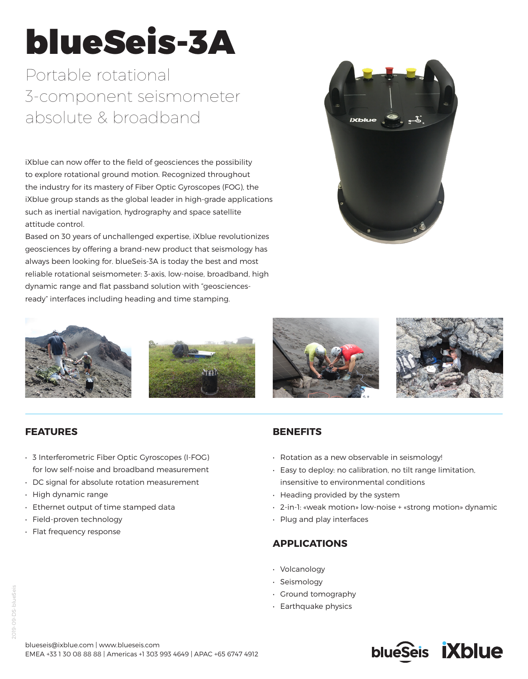# blueSeis-3A

Portable rotational 3-component seismometer absolute & broadband

iXblue can now offer to the field of geosciences the possibility to explore rotational ground motion. Recognized throughout the industry for its mastery of Fiber Optic Gyroscopes (FOG), the iXblue group stands as the global leader in high-grade applications such as inertial navigation, hydrography and space satellite attitude control.

Based on 30 years of unchallenged expertise, iXblue revolutionizes geosciences by offering a brand-new product that seismology has always been looking for. blueSeis-3A is today the best and most reliable rotational seismometer: 3-axis, low-noise, broadband, high dynamic range and flat passband solution with "geosciencesready" interfaces including heading and time stamping.











# **FEATURES**

- 3 Interferometric Fiber Optic Gyroscopes (I-FOG) for low self-noise and broadband measurement
- DC signal for absolute rotation measurement
- High dynamic range
- Ethernet output of time stamped data
- Field-proven technology
- Flat frequency response

# **BENEFITS**

- Rotation as a new observable in seismology!
- Easy to deploy: no calibration, no tilt range limitation, insensitive to environmental conditions
- Heading provided by the system
- 2-in-1: «weak motion» low-noise + «strong motion» dynamic
- Plug and play interfaces

# **APPLICATIONS**

- Volcanology
- Seismology
- Ground tomography
- Earthquake physics